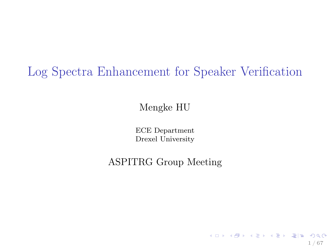Log Spectra Enhancement for Speaker Verification

Mengke HU

ECE Department Drexel University

ASPITRG Group Meeting

1 / 67

K ロ ▶ K @ ▶ K 할 ▶ K 할 ▶ [ 할 날 ! > 10 Q Q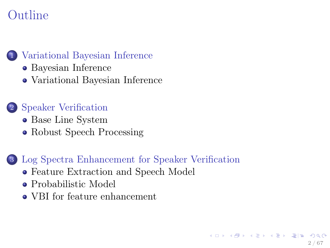# Outline

#### [Variational Bayesian Inference](#page-2-0)

- [Bayesian Inference](#page-2-0)
- [Variational Bayesian Inference](#page-12-0)

#### 2 [Speaker Verification](#page-23-0)

- [Base Line System](#page-23-0)
- [Robust Speech Processing](#page-31-0)

#### 3 [Log Spectra Enhancement for Speaker Verification](#page-37-0)

- [Feature Extraction and Speech Model](#page-37-0)
- [Probabilistic Model](#page-40-0)
- [VBI for feature enhancement](#page-52-0)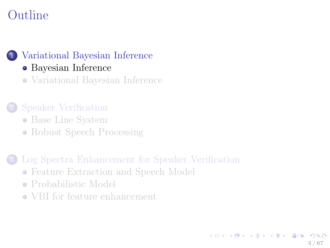# Outline



- [Bayesian Inference](#page-2-0)
- [Variational Bayesian Inference](#page-12-0)

#### 2 [Speaker Verification](#page-23-0)

- [Base Line System](#page-23-0)
- [Robust Speech Processing](#page-31-0)

#### [Log Spectra Enhancement for Speaker Verification](#page-37-0)

- [Feature Extraction and Speech Model](#page-37-0)
- [Probabilistic Model](#page-40-0)
- <span id="page-2-0"></span>[VBI for feature enhancement](#page-52-0)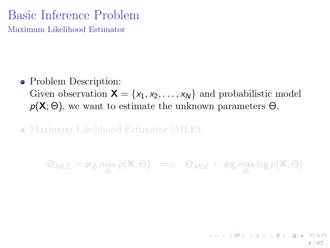# Basic Inference Problem

Maximum Likelihood Estimator

• Problem Description: Given observation  $\mathbf{X} = \{x_1, x_2, \ldots, x_N\}$  and probabilistic model  $p(X; \Theta)$ , we want to estimate the unknown parameters  $\Theta$ .

• Maximum Likelihood Estimator (MLE):

 $\Theta_\textit{MLE} = \arg\max_\Theta p(\mathbf{X};\Theta) \iff \Theta_\textit{MLE} = \arg\max_\Theta \log p(\mathbf{X};\Theta)$ 

4 / 67

K ロ ▶ K @ ▶ K 경 ▶ K 경 ▶ (경)님, 수익어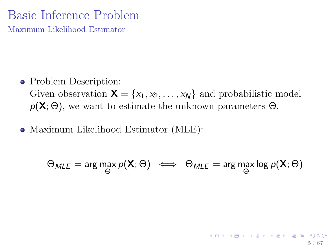# Basic Inference Problem

Maximum Likelihood Estimator

- Problem Description: Given observation  $\mathbf{X} = \{x_1, x_2, \ldots, x_N\}$  and probabilistic model  $p(X; \Theta)$ , we want to estimate the unknown parameters  $\Theta$ .
- Maximum Likelihood Estimator (MLE):

$$
\Theta_{MLE} = \arg\max_{\Theta} p(\mathbf{X}; \Theta) \iff \Theta_{MLE} = \arg\max_{\Theta} \log p(\mathbf{X}; \Theta)
$$

5 / 67

K ロ ▶ K @ ▶ K 할 ▶ K 할 ▶ [ 할 날 : 0 Q Q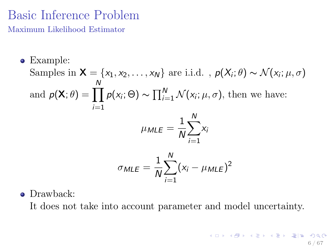# Basic Inference Problem

Maximum Likelihood Estimator

- Example: Samples in  $\mathsf{X} = \{x_1, x_2, \ldots, x_N\}$  are i.i.d.,  $p(X_i; \theta) \sim \mathcal{N}(x_i; \mu, \sigma)$ and  $p(\mathsf{X}; \theta) = \prod^N$  $i=1$  $p(x_i; \Theta) \sim \prod_{i=1}^{N} \mathcal{N}(x_i; \mu, \sigma)$ , then we have:  $\mu_{MLE}=\frac{1}{\Lambda}$ N  $\stackrel{N}{\blacktriangle}$  $i=1$ xi  $\sigma_{MLE}=\frac{1}{\Lambda}$ N  $\stackrel{N}{\longleftarrow}$  $i=1$  $(x_i - \mu_{MLE})^2$
- Drawback:

It does not take into account parameter and model uncertainty.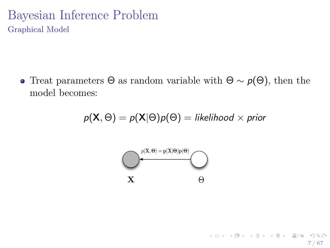## Bayesian Inference Problem Graphical Model

• Treat parameters  $\Theta$  as random variable with  $\Theta \sim p(\Theta)$ , then the model becomes:

$$
p(\mathbf{X},\Theta) = p(\mathbf{X}|\Theta)p(\Theta) = likelihood \times prior
$$

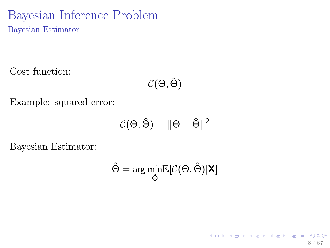## Bayesian Inference Problem Bayesian Estimator

Cost function:

$$
\mathcal{C}(\Theta,\hat{\Theta})
$$

Example: squared error:

$$
\mathcal{C}(\Theta,\hat{\Theta}) = ||\Theta - \hat{\Theta}||^2
$$

Bayesian Estimator:

$$
\hat{\Theta} = \arg\min_{\hat{\Theta}} \mathbb{E}[\mathcal{C}(\Theta,\hat{\Theta})|\textbf{X}]
$$

8 / 67

K ロ ▶ K @ ▶ K 할 ▶ K 할 ▶ [ 할 날 수 있어 )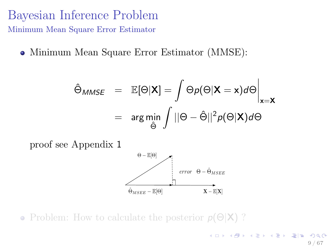## Bayesian Inference Problem Minimum Mean Square Error Estimator

Minimum Mean Square Error Estimator (MMSE):

$$
\hat{\Theta}_{MMSE} = \mathbb{E}[\Theta|\mathbf{X}] = \int \Theta p(\Theta|\mathbf{X} = \mathbf{x}) d\Theta \Big|_{\mathbf{x} = \mathbf{X}}
$$
  
= 
$$
\arg \min_{\hat{\Theta}} \int ||\Theta - \hat{\Theta}||^2 p(\Theta|\mathbf{X}) d\Theta
$$



• Problem: How to calculate the posterior  $p(\Theta|\mathbf{X})$ ?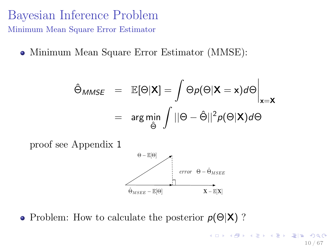## Bayesian Inference Problem Minimum Mean Square Error Estimator

Minimum Mean Square Error Estimator (MMSE):

$$
\hat{\Theta}_{MMSE} = \mathbb{E}[\Theta|\mathbf{X}] = \int \Theta p(\Theta|\mathbf{X} = \mathbf{x}) d\Theta \Big|_{\mathbf{x} = \mathbf{X}}
$$
  
= 
$$
\arg \min_{\hat{\Theta}} \int ||\Theta - \hat{\Theta}||^2 p(\Theta|\mathbf{X}) d\Theta
$$



• Problem: How to calculate the posterior  $p(\Theta|\mathbf{X})$ ?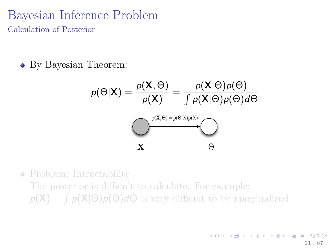#### Bayesian Inference Problem Calculation of Posterior

By Bayesian Theorem:

$$
p(\Theta|\mathbf{X}) = \frac{p(\mathbf{X}, \Theta)}{p(\mathbf{X})} = \frac{p(\mathbf{X}|\Theta)p(\Theta)}{\int p(\mathbf{X}|\Theta)p(\Theta)d\Theta}
$$
\n
$$
\sum_{\mathbf{X}} \frac{p(\mathbf{X}, \Theta) = p(\Theta|\mathbf{X})p(\mathbf{X})}{\Theta}
$$

• Problem: Intractability The posterior is difficult to calculate. For example:  $p(\mathbf{X}) = \int p(\mathbf{X}|\Theta)p(\Theta)d\Theta$  is very difficult to be marginalized.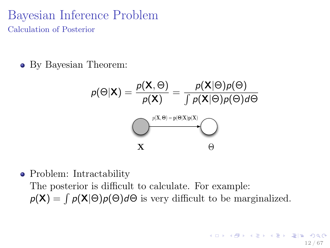### Bayesian Inference Problem Calculation of Posterior

• By Bayesian Theorem:

$$
p(\Theta|\mathbf{X}) = \frac{p(\mathbf{X}, \Theta)}{p(\mathbf{X})} = \frac{p(\mathbf{X}|\Theta)p(\Theta)}{\int p(\mathbf{X}|\Theta)p(\Theta)d\Theta}
$$
\n
$$
\underbrace{\left(\frac{p(\mathbf{X}, \Theta) = p(\Theta|\mathbf{X})p(\mathbf{X})}{\sigma(\mathbf{X})}\right)}_{\mathbf{X}} \oplus
$$

• Problem: Intractability The posterior is difficult to calculate. For example:  $p(\mathbf{X}) = \int p(\mathbf{X}|\Theta)p(\Theta)d\Theta$  is very difficult to be marginalized.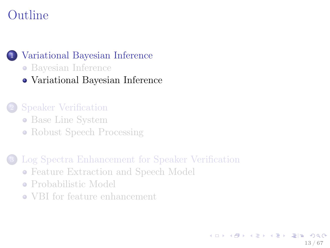# Outline



- [Bayesian Inference](#page-2-0)
- [Variational Bayesian Inference](#page-12-0)

#### 2 [Speaker Verification](#page-23-0)

- [Base Line System](#page-23-0)
- <span id="page-12-0"></span>• [Robust Speech Processing](#page-31-0)
- [Log Spectra Enhancement for Speaker Verification](#page-37-0)
	- [Feature Extraction and Speech Model](#page-37-0)
	- [Probabilistic Model](#page-40-0)
	- [VBI for feature enhancement](#page-52-0)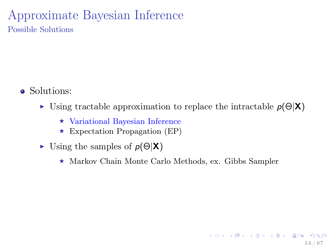## Approximate Bayesian Inference Possible Solutions

- Solutions:
	- If Using tractable approximation to replace the intractable  $p(\Theta|\mathbf{X})$ 
		- $\star$  Variational Bayesian Inference
		- $\star$  Expectation Propagation (EP)
	- In Using the samples of  $p(\Theta|\mathbf{X})$ 
		- $\star$  Markov Chain Monte Carlo Methods, ex. Gibbs Sampler

14 / 67

K ロ ▶ K @ ▶ K 할 ▶ K 할 ▶ [ 할 날 ! > 10 Q Q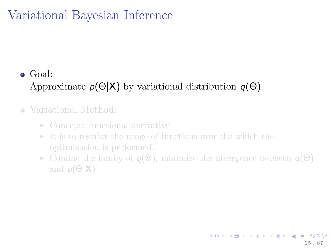## Goal: Approximate  $p(\Theta|\mathbf{X})$  by variational distribution  $q(\Theta)$

#### Variational Method:

- $\triangleright$  Concept: functional derivative
- $\triangleright$  It is to restrict the range of functions over the which the
- $\triangleright$  Confine the family of  $q(\Theta)$ , minimize the divergence between  $q(\Theta)$ and  $p(\Theta|\mathbf{X})$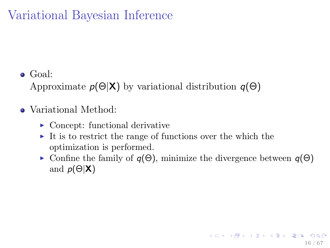Goal:

Approximate  $p(\Theta|\mathbf{X})$  by variational distribution  $q(\Theta)$ 

#### Variational Method:

- $\triangleright$  Concept: functional derivative
- $\triangleright$  It is to restrict the range of functions over the which the optimization is performed.
- $\triangleright$  Confine the family of  $q(\Theta)$ , minimize the divergence between  $q(\Theta)$ and  $p(\Theta|\mathbf{X})$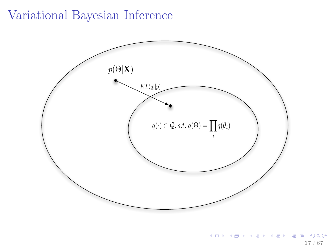

K ロ X K @ X K 할 X K 할 X (할 X 역)일 수 있다. 17 / 67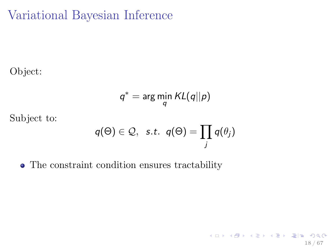Object:

$$
q^* = \arg\min_q KL(q||p)
$$

Subject to:

$$
q(\Theta) \in \mathcal{Q}, \ \ \text{s.t.} \ \ q(\Theta) = \prod_j q(\theta_j)
$$

18 / 67

K ロ ▶ K @ ▶ K 할 ▶ K 할 ▶ [ 할 날 수 있어 )

The constraint condition ensures tractability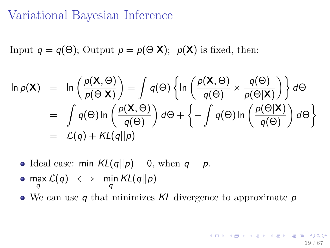Input  $q = q(\Theta)$ ; Output  $p = p(\Theta|\mathbf{X})$ ;  $p(\mathbf{X})$  is fixed, then:

$$
\ln p(\mathbf{X}) = \ln \left( \frac{p(\mathbf{X}, \Theta)}{p(\Theta|\mathbf{X})} \right) = \int q(\Theta) \left\{ \ln \left( \frac{p(\mathbf{X}, \Theta)}{q(\Theta)} \times \frac{q(\Theta)}{p(\Theta|\mathbf{X})} \right) \right\} d\Theta
$$
  
= 
$$
\int q(\Theta) \ln \left( \frac{p(\mathbf{X}, \Theta)}{q(\Theta)} \right) d\Theta + \left\{ - \int q(\Theta) \ln \left( \frac{p(\Theta|\mathbf{X})}{q(\Theta)} \right) d\Theta \right\}
$$
  
= 
$$
\mathcal{L}(q) + KL(q||p)
$$

• Ideal case: min  $KL(q||p) = 0$ , when  $q = p$ .

$$
\bullet \ \max_q {\mathcal L}(q) \iff \ \min_q {\mathsf{KL}(q||p)}
$$

• We can use q that minimizes  $KL$  divergence to approximate  $p$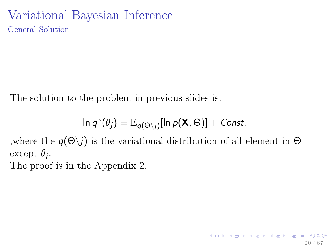## Variational Bayesian Inference General Solution

The solution to the problem in previous slides is:

$$
\ln q^*(\theta_j) = \mathbb{E}_{q(\Theta \setminus j)}[\ln p(\mathbf{X}, \Theta)] + \text{Const.}
$$

,where the  $q(\Theta \setminus i)$  is the variational distribution of all element in  $\Theta$ except  $\theta_j$ .

The proof is in the Appendix 2.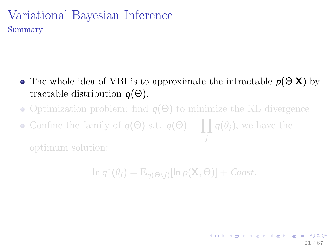## Variational Bayesian Inference Summary

- The whole idea of VBI is to approximate the intractable  $p(\Theta|X)$  by tractable distribution  $q(\Theta)$ .
- Optimization problem: find  $q(\Theta)$  to minimize the KL divergence
- Confine the family of  $q(\Theta)$  s.t.  $q(\Theta) = \prod q(\theta_j)$ , we have the

 $\ln q^*(\theta_j) = \mathbb{E}_{q(\Theta \setminus j)}[\ln p(\mathbf{X}, \Theta)] + \textit{Const.}$ 

21 / 67

K ロ ▶ K @ ▶ K 할 ▶ K 할 ▶ [ 할 바 ! 9]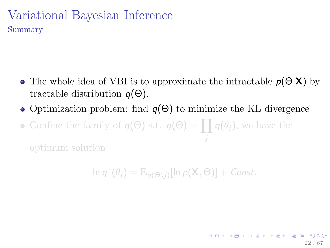## Variational Bayesian Inference Summary

- The whole idea of VBI is to approximate the intractable  $p(\Theta|\mathbf{X})$  by tractable distribution  $q(\Theta)$ .
- Optimization problem: find  $q(\Theta)$  to minimize the KL divergence
- Confine the family of  $q(\Theta)$  s.t.  $q(\Theta) = \prod q(\theta_j)$ , we have the

 $\ln q^*(\theta_j) = \mathbb{E}_{q(\Theta \setminus j)}[\ln p(\mathbf{X}, \Theta)] + \textit{Const.}$ 

22 / 67

K ロ X K 에 X X B X X B X G W H H X Y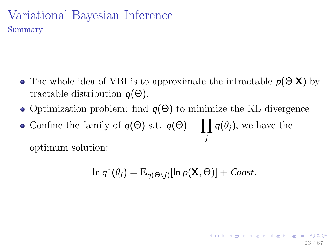## Variational Bayesian Inference Summary

- The whole idea of VBI is to approximate the intractable  $p(\Theta|X)$  by tractable distribution  $q(\Theta)$ .
- Optimization problem: find  $q(\Theta)$  to minimize the KL divergence
- Confine the family of  $q(\Theta)$  s.t.  $q(\Theta) = \prod q(\theta_j)$ , we have the j

optimum solution:

$$
\ln q^*(\theta_j) = \mathbb{E}_{q(\Theta \setminus j)}[\ln p(\mathbf{X}, \Theta)] + \text{Const.}
$$

23 / 67

K ロ ▶ K @ ▶ K 할 ▶ K 할 ▶ [ 할 바 ! 9]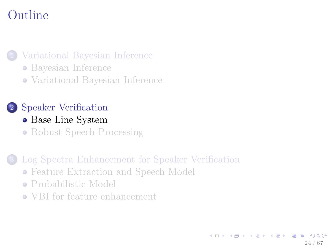# Outline

[Variational Bayesian Inference](#page-2-0)

- [Bayesian Inference](#page-2-0)
- [Variational Bayesian Inference](#page-12-0)

#### 2 [Speaker Verification](#page-23-0)

- [Base Line System](#page-23-0)
- [Robust Speech Processing](#page-31-0)

[Log Spectra Enhancement for Speaker Verification](#page-37-0)

- [Feature Extraction and Speech Model](#page-37-0)
- [Probabilistic Model](#page-40-0)
- <span id="page-23-0"></span>[VBI for feature enhancement](#page-52-0)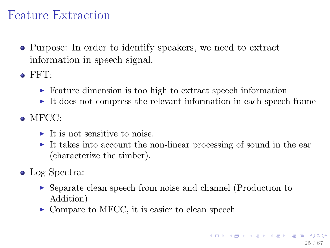# Feature Extraction

- Purpose: In order to identify speakers, we need to extract information in speech signal.
- $\bullet$  FFT:
	- $\triangleright$  Feature dimension is too high to extract speech information
	- $\triangleright$  It does not compress the relevant information in each speech frame
- $\bullet$  MFCC $\cdot$ 
	- $\blacktriangleright$  It is not sensitive to noise.
	- It takes into account the non-linear processing of sound in the ear (characterize the timber).
- Log Spectra:
	- <sup>I</sup> Separate clean speech from noise and channel (Production to Addition)
	- $\triangleright$  Compare to MFCC, it is easier to clean speech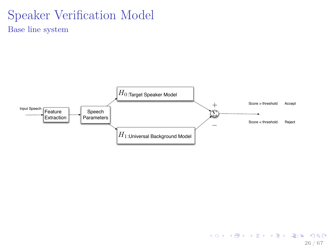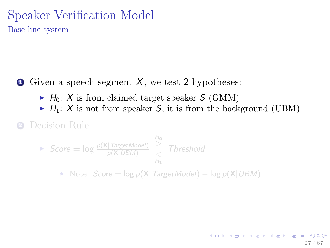$\bullet$  Given a speech segment X, we test 2 hypotheses:

- $\blacktriangleright$  H<sub>0</sub>: X is from claimed target speaker S (GMM)
- $\blacktriangleright$  H<sub>1</sub>: X is not from speaker S, it is from the background (UBM)

<sup>2</sup> Decision Rule

 $\blacktriangleright$  Score =  $\log \frac{p(X | TargetModel)}{p(X | UBM)}$  $\frac{\text{H}_0}{\text{2}}$  $\leq H_1$ **Threshold** 

 $\star$  Note: Score = log p(X|TargetModel) – log p(X|UBM)

27 / 67

K ロ K K 倒 K K ミ K K ミ K 「ミ」 ミ Y の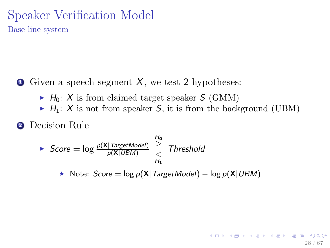$\bullet$  Given a speech segment X, we test 2 hypotheses:

- $\blacktriangleright$  H<sub>0</sub>: X is from claimed target speaker S (GMM)
- $\blacktriangleright$  H<sub>1</sub>: X is not from speaker S, it is from the background (UBM)

28 / 67

KED KARD KED KED EE YAA

<sup>2</sup> Decision Rule

$$
\begin{array}{rcl}\n\text{Score} & = \log \frac{p(\mathbf{X} | \text{TargetModel})}{p(\mathbf{X} | \text{UBM})} & > \\
\text{Interested} & & \text{Threshold} \\
\text{M}_1 & & \text{Note: } \text{Score} = \log p(\mathbf{X} | \text{TargetModel}) - \log p(\mathbf{X} | \text{UBM})\n\end{array}
$$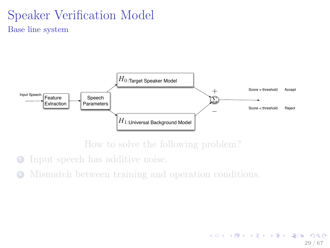

How to solve the following problem?

- **1** Input speech has additive noise.
- <sup>2</sup> Mismatch between training and operation conditions.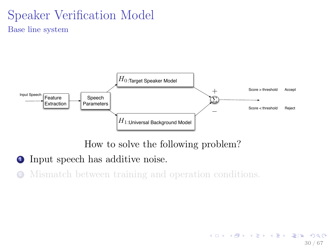

How to solve the following problem?

30 / 67

KED KARD KED KED EE YAA

- **1** Input speech has additive noise.
- <sup>2</sup> Mismatch between training and operation conditions.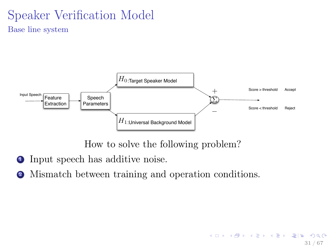

How to solve the following problem?

31 / 67

KED KARD KED KED EE YAA

- **1** Input speech has additive noise.
- <sup>2</sup> Mismatch between training and operation conditions.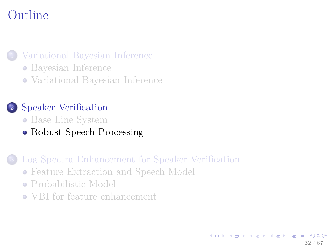# Outline

#### [Variational Bayesian Inference](#page-2-0)

- [Bayesian Inference](#page-2-0)
- [Variational Bayesian Inference](#page-12-0)

#### 2 [Speaker Verification](#page-23-0)

- [Base Line System](#page-23-0)
- [Robust Speech Processing](#page-31-0)

#### [Log Spectra Enhancement for Speaker Verification](#page-37-0)

- [Feature Extraction and Speech Model](#page-37-0)
- [Probabilistic Model](#page-40-0)
- <span id="page-31-0"></span>[VBI for feature enhancement](#page-52-0)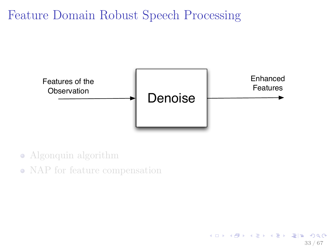# Feature Domain Robust Speech Processing



33 / 67

K ロ ▶ K @ ▶ K 할 ▶ K 할 ▶ [ 할 날 ! > 10 Q Q

- Algonquin algorithm
- NAP for feature compensation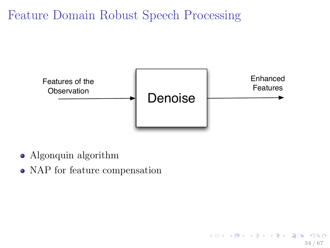# Feature Domain Robust Speech Processing



34 / 67

K ロ > K 個 > K 평 > K 평 > (평)는 900

- Algonquin algorithm
- NAP for feature compensation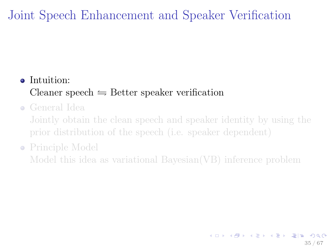# Joint Speech Enhancement and Speaker Verification

## • Intuition: Cleaner speech  $\rightleftharpoons$  Better speaker verification

General Idea

Jointly obtain the clean speech and speaker identity by using the prior distribution of the speech (i.e. speaker dependent)

#### • Principle Model

Model this idea as variational Bayesian(VB) inference problem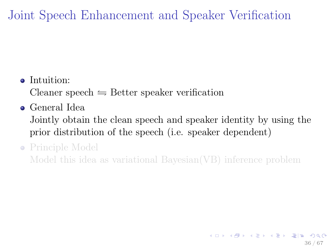Joint Speech Enhancement and Speaker Verification

#### • Intuition:

Cleaner speech  $\rightleftharpoons$  Better speaker verification

General Idea

Jointly obtain the clean speech and speaker identity by using the prior distribution of the speech (i.e. speaker dependent)

#### • Principle Model

Model this idea as variational Bayesian(VB) inference problem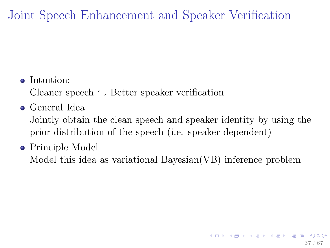Joint Speech Enhancement and Speaker Verification

• Intuition:

Cleaner speech  $\rightleftharpoons$  Better speaker verification

General Idea

Jointly obtain the clean speech and speaker identity by using the prior distribution of the speech (i.e. speaker dependent)

• Principle Model

<span id="page-36-0"></span>Model this idea as variational Bayesian(VB) inference problem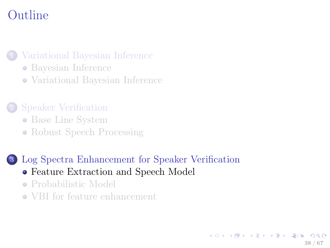# Outline

#### [Variational Bayesian Inference](#page-2-0)

- [Bayesian Inference](#page-2-0)
- [Variational Bayesian Inference](#page-12-0)

#### 2 [Speaker Verification](#page-23-0)

- [Base Line System](#page-23-0)
- [Robust Speech Processing](#page-31-0)

#### 3 [Log Spectra Enhancement for Speaker Verification](#page-37-0)

- [Feature Extraction and Speech Model](#page-37-0)
- [Probabilistic Model](#page-40-0)
- <span id="page-37-0"></span>[VBI for feature enhancement](#page-52-0)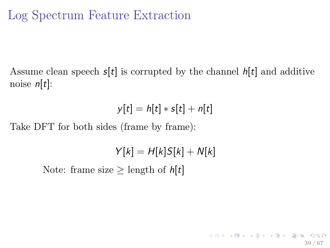# Log Spectrum Feature Extraction

Assume clean speech  $s[t]$  is corrupted by the channel  $h[t]$  and additive noise  $n[t]$ :

$$
y[t] = h[t] * s[t] + n[t]
$$

Take DFT for both sides (frame by frame):

$$
Y[k] = H[k]S[k] + N[k]
$$

39 / 67

K ロ ▶ K @ ▶ K 할 ▶ K 할 ▶ [ 할 날 : 0 Q Q

Note: frame size  $\geq$  length of  $h[t]$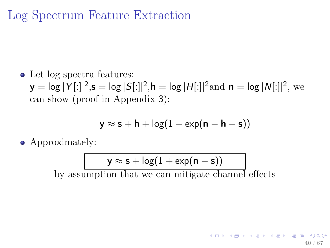# Log Spectrum Feature Extraction

• Let log spectra features:

 $y = \log |Y[:]|^2, s = \log |S[:]|^2, h = \log |H[:]|^2 \text{and } n = \log |N[:]|^2, \text{ we}$ can show (proof in Appendix 3):

$$
y \approx s + h + \log(1 + \exp(n - h - s))
$$

• Approximately:

$$
\mathsf{y} \approx \mathsf{s} + \mathsf{log}(1+\mathsf{exp}(\mathsf{n}-\mathsf{s}))
$$

by assumption that we can mitigate channel effects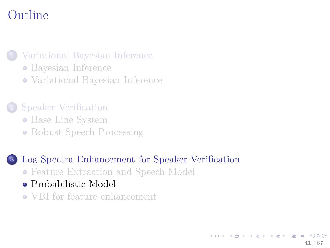# Outline

#### [Variational Bayesian Inference](#page-2-0)

- [Bayesian Inference](#page-2-0)
- [Variational Bayesian Inference](#page-12-0)

#### 2 [Speaker Verification](#page-23-0)

- [Base Line System](#page-23-0)
- [Robust Speech Processing](#page-31-0)

# 3 [Log Spectra Enhancement for Speaker Verification](#page-37-0)

- [Feature Extraction and Speech Model](#page-37-0)
- [Probabilistic Model](#page-40-0)
- <span id="page-40-0"></span>[VBI for feature enhancement](#page-52-0)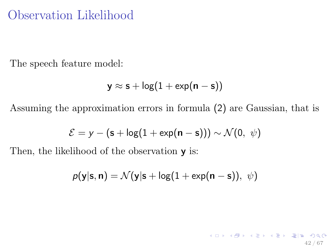## Observation Likelihood

The speech feature model:

$$
y \approx s + \log(1 + \exp(n - s))
$$

Assuming the approximation errors in formula (2) are Gaussian, that is

$$
\mathcal{E} = y - (\mathbf{s} + \log(1 + \exp(\mathbf{n} - \mathbf{s}))) \sim \mathcal{N}(0, \ \psi)
$$

Then, the likelihood of the observation **y** is:

$$
p(\mathbf{y}|\mathbf{s}, \mathbf{n}) = \mathcal{N}(\mathbf{y}|\mathbf{s} + \log(1 + \exp(\mathbf{n} - \mathbf{s})), \ \psi)
$$

42 / 67

K ロ ▶ K @ ▶ K 할 ▶ K 할 ▶ [ 할 날 ! > 10 Q Q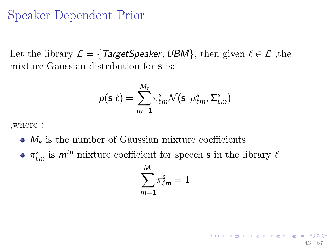### Speaker Dependent Prior

Let the library  $\mathcal{L} = \{ \text{TargetSpeaker}, \text{UBM} \}$ , then given  $\ell \in \mathcal{L}$ , the mixture Gaussian distribution for s is:

$$
p(\mathbf{s}|\ell) = \sum_{m=1}^{M_s} \pi_{\ell m}^s \mathcal{N}(\mathbf{s}; \mu_{\ell m}^s, \Sigma_{\ell m}^s)
$$

,where :

- $M<sub>s</sub>$  is the number of Gaussian mixture coefficients
- $\pi_{\ell m}^{\textbf{s}}$  is  $m^{th}$  mixture coefficient for speech **s** in the library  $\ell$

$$
\sum_{m=1}^{M_s}\!\pi^\textbf{s}_{\ell m}=1
$$

43 / 67

**KOR KAR KER KER EIE KOAN**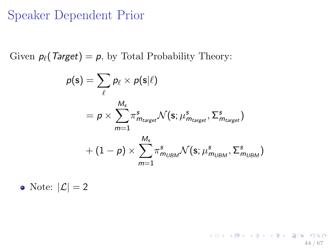## Speaker Dependent Prior

Given  $p_\ell(\text{Target}) = p$ , by Total Probability Theory:

$$
\rho(\mathbf{s}) = \sum_{\ell} p_{\ell} \times p(\mathbf{s}|\ell)
$$
  
=  $p \times \sum_{m=1}^{M_s} \pi^s_{m_{target}} \mathcal{N}(\mathbf{s}; \mu^s_{m_{target}}, \Sigma^s_{m_{target}})$   
+  $(1 - p) \times \sum_{m=1}^{M_s} \pi^s_{m_{UBM}} \mathcal{N}(\mathbf{s}; \mu^s_{m_{UBM}}, \Sigma^s_{m_{UBM}})$ 

44 / 67

K ロ ▶ K 個 ▶ K 평 ▶ K 평 ▶ [편] ≥ 10 Q Q Q

• Note:  $|\mathcal{L}| = 2$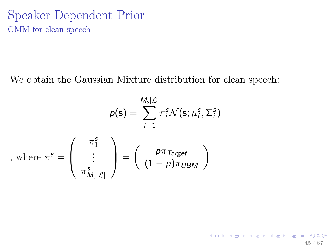### Speaker Dependent Prior GMM for clean speech

We obtain the Gaussian Mixture distribution for clean speech:

$$
p(\mathbf{s}) = \sum_{i=1}^{M_s|\mathcal{L}|} \pi_i^s \mathcal{N}(\mathbf{s}; \mu_i^s, \Sigma_i^s)
$$
, where  $\pi^s = \begin{pmatrix} \pi_1^s \\ \vdots \\ \pi_{M_s|\mathcal{L}|}^s \end{pmatrix} = \begin{pmatrix} p\pi_{Target} \\ (1-p)\pi_{UBM} \end{pmatrix}$ 

K ロ ▶ K @ ▶ K 할 ▶ K 할 ▶ [ 할 날 수 있어 ) 45 / 67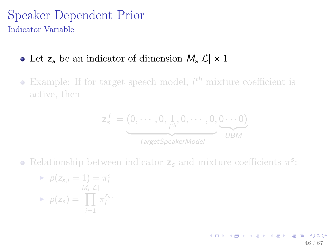### Speaker Dependent Prior Indicator Variable

# Let  $z_s$  be an indicator of dimension  $M_s|\mathcal{L}| \times 1$

Example: If for target speech model,  $i<sup>th</sup>$  mixture coefficient is active, then

$$
\mathsf{z}_{s}^{T} = \underbrace{(0, \cdots, 0, 1, 0, \cdots, 0, 0 \cdots 0)}_{\text{TargetSpeckerModel}}
$$

Relationship between indicator  $z_s$  and mixture coefficients  $\pi^s$ :

$$
\begin{aligned}\n&\triangleright \ p(z_{s,i} = 1) = \pi_i^s \\
&\triangleright \ p(z_s) = \prod_{i=1}^{M_s|\mathcal{L}|} \pi_i^{z_{s,i}}\n\end{aligned}
$$

K ロ X K @ X K 할 X K 할 X 및 할 X 9 Q Q 46 / 67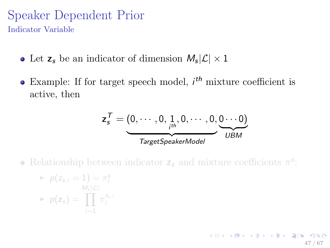### Speaker Dependent Prior Indicator Variable

- Let  $z_s$  be an indicator of dimension  $M_s|\mathcal{L}| \times 1$
- Example: If for target speech model,  $i<sup>th</sup>$  mixture coefficient is active, then

$$
\mathbf{z}_s^T = \underbrace{(0, \cdots, 0, 1, 0, \cdots, 0, 0 \cdots 0)}_{TargetSpeakerModel}
$$

47 / 67

**KOR KAR KER KER EIE KOAN** 

Relationship between indicator  $z_s$  and mixture coefficients  $\pi^s$ :

$$
\begin{aligned}\n&\triangleright \ p(z_{s,i} = 1) = \pi_i^s \\
&\triangleright \ p(z_s) = \prod_{i=1}^{M_s|\mathcal{L}|} \pi_i^{z_{s,i}}\n\end{aligned}
$$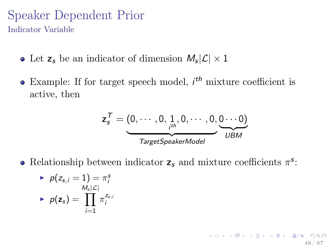### Speaker Dependent Prior Indicator Variable

- Let  $z_s$  be an indicator of dimension  $M_s|\mathcal{L}| \times 1$
- Example: If for target speech model,  $i<sup>th</sup>$  mixture coefficient is active, then

$$
\mathbf{z}_s^T = \underbrace{(0, \cdots, 0, 1, 0, \cdots, 0, 0 \cdots 0)}_{TargetSpeakerModel}
$$

48 / 67

**KOR KAR KER KER EIE KOAN** 

Relationship between indicator  $z_s$  and mixture coefficients  $\pi^s$ :

$$
\begin{aligned}\n&\blacktriangleright \ p(z_{s,i} = 1) = \pi_i^s \\
&\blacktriangleright \ p(z_s) = \prod_{i=1}^{M_s|\mathcal{L}|} \pi_i^{z_{s,i}}\n\end{aligned}
$$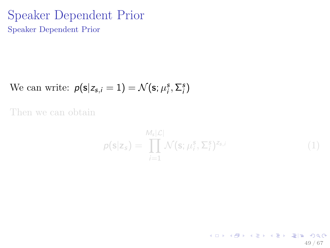### Speaker Dependent Prior Speaker Dependent Prior

We can write:  $p(\mathbf{s}|z_{s,i}=1) = \mathcal{N}(\mathbf{s}; \mu_i^s, \Sigma_i^s)$ 

Then we can obtain

$$
p(\mathbf{s}|\mathbf{z}_s) = \prod_{i=1}^{M_s|\mathcal{L}|} \mathcal{N}(\mathbf{s}; \mu_i^s, \Sigma_i^s)^{z_{s,i}} \tag{1}
$$

49 / 67

×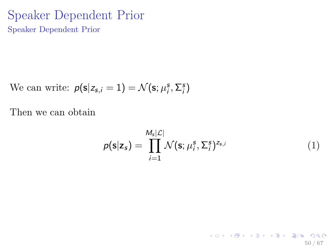### Speaker Dependent Prior Speaker Dependent Prior

We can write:  $p(\mathbf{s}|z_{s,i}=1) = \mathcal{N}(\mathbf{s}; \mu_i^s, \Sigma_i^s)$ 

Then we can obtain

$$
p(\mathbf{s}|\mathbf{z}_s) = \prod_{i=1}^{M_s|\mathcal{L}|} \mathcal{N}(\mathbf{s}; \mu_i^s, \Sigma_i^s)^{z_{s,i}} \tag{1}
$$

×

50 / 67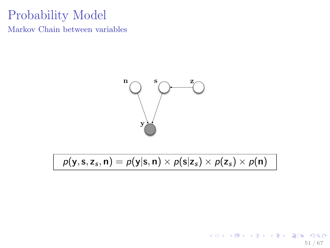# Probability Model

Markov Chain between variables



 $p(y, s, z_s, n) = p(y|s, n) \times p(s|z_s) \times p(z_s) \times p(n)$ 

K ロ ▶ K @ ▶ K 할 ▶ K 할 ▶ [ 할 날 ! > 10 Q Q 51 / 67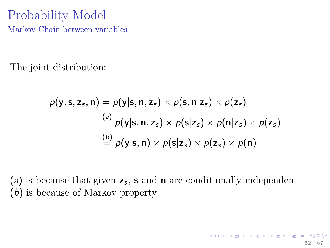### Probability Model Markov Chain between variables

The joint distribution:

<span id="page-51-0"></span>
$$
p(\mathbf{y}, \mathbf{s}, \mathbf{z}_s, \mathbf{n}) = p(\mathbf{y} | \mathbf{s}, \mathbf{n}, \mathbf{z}_s) \times p(\mathbf{s}, \mathbf{n} | \mathbf{z}_s) \times p(\mathbf{z}_s)
$$
  
\n
$$
\stackrel{(a)}{=} p(\mathbf{y} | \mathbf{s}, \mathbf{n}, \mathbf{z}_s) \times p(\mathbf{s} | \mathbf{z}_s) \times p(\mathbf{n} | \mathbf{z}_s) \times p(\mathbf{z}_s)
$$
  
\n
$$
\stackrel{(b)}{=} p(\mathbf{y} | \mathbf{s}, \mathbf{n}) \times p(\mathbf{s} | \mathbf{z}_s) \times p(\mathbf{z}_s) \times p(\mathbf{n})
$$

(a) is because that given  $z_s$ , s and n are conditionally independent (b) is because of Markov property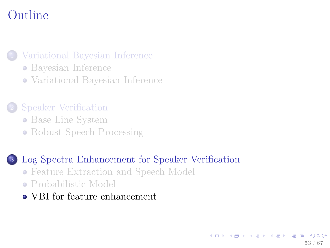# Outline

#### [Variational Bayesian Inference](#page-2-0)

- [Bayesian Inference](#page-2-0)
- [Variational Bayesian Inference](#page-12-0)

#### 2 [Speaker Verification](#page-23-0)

- [Base Line System](#page-23-0)
- [Robust Speech Processing](#page-31-0)

#### 3 [Log Spectra Enhancement for Speaker Verification](#page-37-0)

- [Feature Extraction and Speech Model](#page-37-0)
- [Probabilistic Model](#page-40-0)
- <span id="page-52-0"></span>[VBI for feature enhancement](#page-52-0)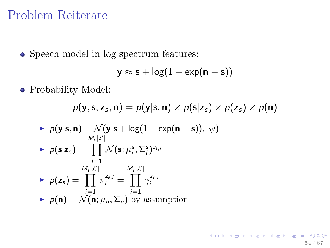• Speech model in log spectrum features:

$$
y \approx s + \log(1 + \exp(n - s))
$$

Probability Model:

$$
p(\mathbf{y}, \mathbf{s}, \mathbf{z}_{s}, \mathbf{n}) = p(\mathbf{y}|\mathbf{s}, \mathbf{n}) \times p(\mathbf{s}|\mathbf{z}_{s}) \times p(\mathbf{z}_{s}) \times p(\mathbf{n})
$$

► 
$$
p(\mathbf{y}|\mathbf{s}, \mathbf{n}) = \mathcal{N}(\mathbf{y}|\mathbf{s} + \log(1 + \exp(\mathbf{n} - \mathbf{s})), \psi)
$$
  
\n►  $p(\mathbf{s}|\mathbf{z}_s) = \prod_{i=1}^{M_s|\mathcal{L}|} \mathcal{N}(\mathbf{s}; \mu_i^s, \Sigma_i^{s})^{z_{s,i}}$   
\n►  $p(\mathbf{z}_s) = \prod_{i=1}^{M_s|\mathcal{L}|} \pi_i^{z_{s,i}} = \prod_{i=1}^{M_s|\mathcal{L}|} \gamma_i^{z_{s,i}}$   
\n▶  $p(\mathbf{n}) = \mathcal{N}(\mathbf{n}; \mu_n, \Sigma_n)$  by assumption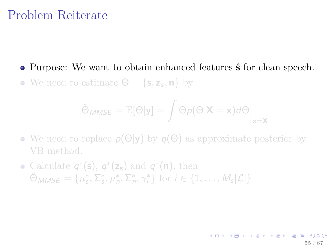• Purpose: We want to obtain enhanced features  $\hat{\mathsf{s}}$  for clean speech. We need to estimate  $\Theta = \{s, z_s, n\}$  by

$$
\hat{\Theta}_{MMSE} = \mathbb{E}[\Theta|\mathbf{y}] = \int \Theta p(\Theta|\mathbf{X}=\mathbf{x}) d\Theta \Big|_{\mathbf{x}=\mathbf{X}}
$$

55 / 67

K ロ ▶ K @ ▶ K 할 ▶ K 할 ▶ [ 할 날 : 0 Q Q

- We need to replace  $p(\Theta|\mathbf{y})$  by  $q(\Theta)$  as approximate posterior by VB method.
- Calculate  $q^*(s)$ ,  $q^*(z_s)$  and  $q^*(n)$ , then  $\hat{\Theta}_{MMSE} = \{\mu_s^*, \Sigma_s^*, \mu_n^*, \Sigma_n^*, \gamma_i^* \}$  for  $i \in \{1, \ldots, M_s | \mathcal{L} | \}$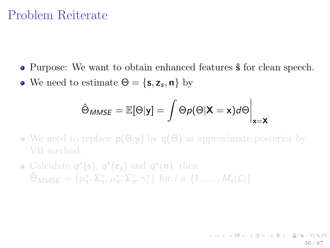- Purpose: We want to obtain enhanced features  $\hat{\mathsf{s}}$  for clean speech.
- We need to estimate  $\Theta = \{\mathsf{s}, \mathsf{z}_{\mathsf{s}}, \mathsf{n}\}\;$  by

$$
\hat{\Theta}_{MMSE} = \mathbb{E}[\Theta|\textbf{y}] = \int \Theta p(\Theta|\textbf{X}=\textbf{x}) d\Theta\bigg|_{\textbf{x}=\textbf{X}}
$$

- We need to replace  $p(\Theta|\mathbf{y})$  by  $q(\Theta)$  as approximate posterior by VB method.
- Calculate  $q^*(s)$ ,  $q^*(z_s)$  and  $q^*(n)$ , then  $\hat{\Theta}_{MMSE} = \{\mu_s^*, \Sigma_s^*, \mu_n^*, \Sigma_n^*, \gamma_i^* \}$  for  $i \in \{1, \ldots, M_s | \mathcal{L} | \}$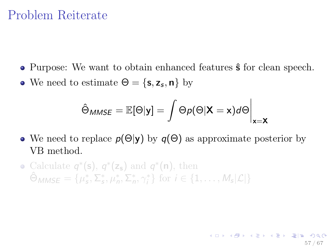- Purpose: We want to obtain enhanced features  $\hat{\mathsf{s}}$  for clean speech.
- We need to estimate  $\Theta = \{\mathsf{s}, \mathsf{z}_{\mathsf{s}}, \mathsf{n}\}\;$  by

$$
\hat{\Theta}_{MMSE} = \mathbb{E}[\Theta|\textbf{y}] = \int \Theta p(\Theta|\textbf{X}=\textbf{x}) d\Theta\bigg|_{\textbf{x}=\textbf{X}}
$$

57 / 67

**KOR KAR KER KER EIE KOAN** 

- We need to replace  $p(\Theta|\mathbf{y})$  by  $q(\Theta)$  as approximate posterior by VB method.
- Calculate  $q^*(s)$ ,  $q^*(z_s)$  and  $q^*(n)$ , then  $\hat{\Theta}_{MMSE} = \{\mu_s^*, \Sigma_s^*, \mu_n^*, \Sigma_n^*, \gamma_i^* \}$  for  $i \in \{1, \ldots, M_s | \mathcal{L} | \}$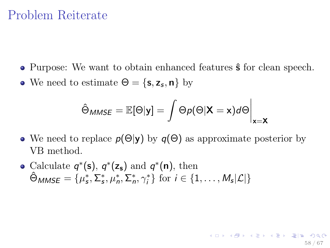- Purpose: We want to obtain enhanced features  $\hat{\mathsf{s}}$  for clean speech.
- We need to estimate  $\Theta = \{\mathsf{s}, \mathsf{z}_{\mathsf{s}}, \mathsf{n}\}\;$  by

$$
\hat{\Theta}_{MMSE} = \mathbb{E}[\Theta|\textbf{y}] = \int \Theta p(\Theta|\textbf{X}=\textbf{x}) d\Theta\bigg|_{\textbf{x}=\textbf{X}}
$$

58 / 67

K ロ X K 에 X X B X X B X G W H H X Y

- We need to replace  $p(\Theta|\mathbf{y})$  by  $q(\Theta)$  as approximate posterior by VB method.
- Calculate  $q^*(s)$ ,  $q^*(z_s)$  and  $q^*(n)$ , then  $\hat{\Theta}_{MMSE} = \{\mu_s^*, \Sigma_s^*, \mu_n^*, \Sigma_n^*, \gamma_i^* \}$  for  $i \in \{1, \ldots, M_s | \mathcal{L} | \}$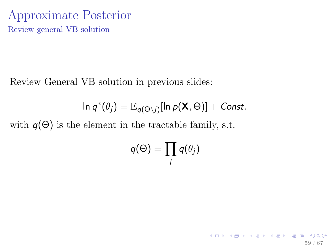### Approximate Posterior Review general VB solution

Review General VB solution in previous slides:

$$
\ln q^*(\theta_j) = \mathbb{E}_{q(\Theta \setminus j)}[\ln p(\mathbf{X}, \Theta)] + \text{Const.}
$$

with  $q(\Theta)$  is the element in the tractable family, s.t.

$$
q(\Theta) = \prod_j q(\theta_j)
$$

<span id="page-58-0"></span>59 / 67

K ロ ▶ K @ ▶ K 할 ▶ K 할 ▶ [할 바 ! 9 Q Q^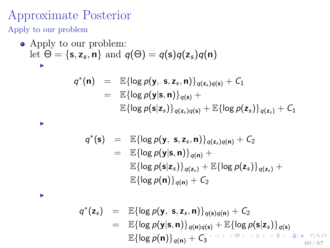## Approximate Posterior

Apply to our problem

I

I

• Apply to our problem:  
let 
$$
\Theta = \{s, z_s, n\}
$$
 and  $q(\Theta) = q(s)q(z_s)q(n)$ 

$$
q^*(\mathbf{n}) = \mathbb{E}\{\log p(\mathbf{y}, \mathbf{s}, \mathbf{z}_s, \mathbf{n})\}_{q(\mathbf{z}_s)q(\mathbf{s})} + C_1
$$
  
= 
$$
\mathbb{E}\{\log p(\mathbf{y}|\mathbf{s}, \mathbf{n})\}_{q(\mathbf{s})} +
$$
  

$$
\mathbb{E}\{\log p(\mathbf{s}|\mathbf{z}_s)\}_{q(\mathbf{z}_s)q(\mathbf{s})} + \mathbb{E}\{\log p(\mathbf{z}_s)\}_{q(\mathbf{z}_s)} + C_1
$$

$$
q^*(s) = \mathbb{E}\{\log p(\mathbf{y}, s, \mathbf{z}_s, \mathbf{n})\}_{q(\mathbf{z}_s)q(\mathbf{n})} + C_2
$$
  
\n
$$
= \mathbb{E}\{\log p(\mathbf{y}|\mathbf{s}, \mathbf{n})\}_{q(\mathbf{n})} +
$$
  
\n
$$
\mathbb{E}\{\log p(s|\mathbf{z}_s)\}_{q(\mathbf{z}_s)} + \mathbb{E}\{\log p(\mathbf{z}_s)\}_{q(\mathbf{z}_s)} +
$$
  
\n
$$
\mathbb{E}\{\log p(\mathbf{n})\}_{q(\mathbf{n})} + C_2
$$

<span id="page-59-0"></span>q ∗ (z<sup>s</sup> ) = E{log p(y, s, z<sup>s</sup> , n)}q(s)q(n) + C<sup>2</sup> = E{log p(y|s, n)}q(n)q(s) + E[{](#page-58-0)log p(s[|](#page-65-0)z<sup>s</sup> )[}](#page-37-0)q(s) E{log p(n)}q(n) + C<sup>3</sup> 60 / 67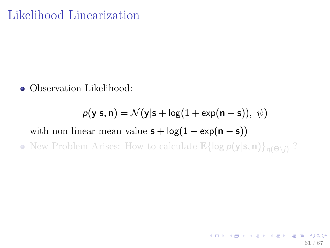# Likelihood Linearization

• Observation Likelihood:

 $p(y|s, n) = \mathcal{N}(y|s + \log(1 + \exp(n - s)), \psi)$ with non linear mean value  $s + log(1 + exp(n - s))$ • New Problem Arises: How to calculate  $\mathbb{E}\{\log p(y|\mathbf{s},\mathbf{n})\}_{q(\Theta\setminus i)}$ ?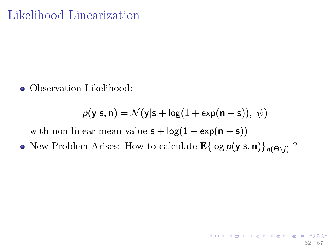# Likelihood Linearization

• Observation Likelihood:

<span id="page-61-0"></span>
$$
p(\mathbf{y}|\mathbf{s}, \mathbf{n}) = \mathcal{N}(\mathbf{y}|\mathbf{s} + \log(1 + \exp(\mathbf{n} - \mathbf{s})), \ \psi)
$$

with non linear mean value  $s + log(1 + exp(n - s))$ 

• New Problem Arises: How to calculate  $\mathbb{E}\{\log p(y|\mathbf{s},\mathbf{n})\}_{q(\Theta\setminus i)}$ ?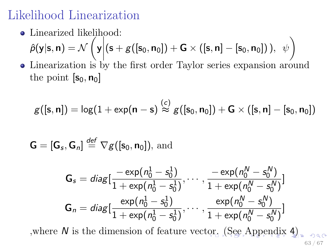# Likelihood Linearization

- Linearized likelihood:  $\hat{p}(\mathsf{y}|\mathsf{s},\mathsf{n})=\mathcal{N}$ 7 y  $\left| \left( s + g([s_0, n_0]) + G \times ([s, n] - [s_0, n_0]) \right), \psi \right|$
- Linearization is by the first order Taylor series expansion around the point  $[s_0, n_0]$

$$
g([\mathsf{s},\mathsf{n}])=\log(1+\exp(\mathsf{n}-\mathsf{s}) \stackrel{(c)}{\approx} g([\mathsf{s}_0,\mathsf{n}_0])+ \mathsf{G} \times ([\mathsf{s},\mathsf{n}]-[\mathsf{s}_0,\mathsf{n}_0])
$$

$$
\mathbf{G} = [\mathbf{G}_{s}, \mathbf{G}_{n}] \stackrel{\text{def}}{=} \nabla g([\mathbf{s}_{0}, \mathbf{n}_{0}]), \text{ and}
$$

<span id="page-62-0"></span>
$$
\mathsf{G}_{\mathsf{s}} = \textit{diag}\big[\frac{-\exp(n_{0}^{1} - s_{0}^{1})}{1 + \exp(n_{0}^{1} - s_{0}^{1})}, \cdots, \frac{-\exp(n_{0}^{N} - s_{0}^{N})}{1 + \exp(n_{0}^{N} - s_{0}^{N})}\big]
$$
\n
$$
\mathsf{G}_{n} = \textit{diag}\big[\frac{\exp(n_{0}^{1} - s_{0}^{1})}{1 + \exp(n_{0}^{1} - s_{0}^{1})}, \cdots, \frac{\exp(n_{0}^{N} - s_{0}^{N})}{1 + \exp(n_{0}^{N} - s_{0}^{N})}\big]
$$

,where N is the dimension of feature vec[tor](#page-61-0). [\(](#page-63-0)[S](#page-61-0)[ee](#page-62-0)[A](#page-51-0)[p](#page-65-0)p[e](#page-66-0)[n](#page-36-0)[d](#page-37-0)[i](#page-65-0)[x](#page-66-0)  $4$ [\)](#page-66-0) 63 / 67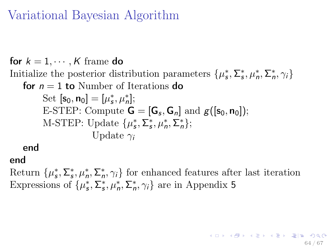# Variational Bayesian Algorithm

for  $k = 1, \dots, K$  frame do Initialize the posterior distribution parameters  $\{\mu_s^*, \Sigma_s^*, \mu_n^*, \Sigma_n^*, \gamma_i\}$ for  $n = 1$  to Number of Iterations do Set  $[s_0, n_0] = [\mu_s^*, \mu_n^*];$ E-STEP: Compute  $\mathbf{G} = [\mathbf{G}_s, \mathbf{G}_n]$  and  $g([\mathbf{s}_0, \mathbf{n}_0])$ ; M-STEP: Update  $\{\mu_s^*, \Sigma_s^*, \mu_n^*, \Sigma_n^*\};$ Update  $\gamma_i$ 

<span id="page-63-0"></span>end

### end

Return  $\{\mu_s^*, \Sigma_s^*, \mu_n^*, \Sigma_n^*, \gamma_i\}$  for enhanced features after last iteration Expressions of  $\{\mu^*_s, \Sigma^*_s, \mu^*_n, \Sigma^*_n, \gamma_i\}$  are in Appendix 5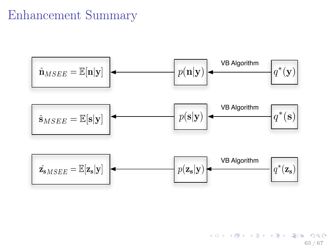## Enhancement Summary



K ロ ▶ K @ ▶ K 할 ▶ K 할 ▶ [ 할 날 ! > 10 Q Q 65 / 67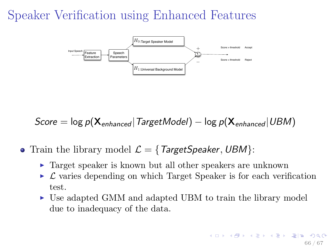# Speaker Verification using Enhanced Features



<span id="page-65-0"></span>Score =  $\log p(\mathbf{X}_{enhanced} | TargetModel) - \log p(\mathbf{X}_{enhanced} | UBM)$ 

- Train the library model  $\mathcal{L} = \{ \text{TargetSpeaker}, \text{UBM} \}$ :
	- $\triangleright$  Target speaker is known but all other speakers are unknown
	- $\triangleright$   $\mathcal L$  varies depending on which Target Speaker is for each verification test.
	- $\triangleright$  Use adapted GMM and adapted UBM to train the library model due to inadequacy of the data.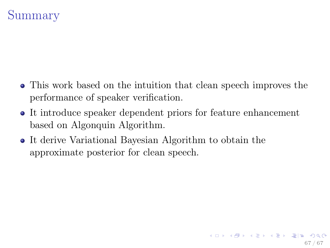# Summary

- This work based on the intuition that clean speech improves the performance of speaker verification.
- It introduce speaker dependent priors for feature enhancement based on Algonquin Algorithm.

<span id="page-66-0"></span>67 / 67

K ロ ▶ K @ ▶ K 할 ▶ K 할 ▶ [ 할 날 ! > 10 Q Q

It derive Variational Bayesian Algorithm to obtain the approximate posterior for clean speech.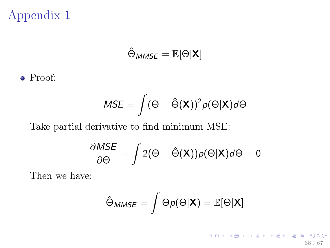$$
\hat{\Theta}_{MMSE} = \mathbb{E}[\Theta|{\bm{X}}]
$$

Proof:

$$
MSE = \int (\Theta - \hat{\Theta}(\mathbf{X}))^2 p(\Theta|\mathbf{X}) d\Theta
$$

Take partial derivative to find minimum MSE:

$$
\frac{\partial MSE}{\partial \Theta} = \int 2(\Theta - \hat{\Theta}(\mathbf{X}))p(\Theta|\mathbf{X})d\Theta = 0
$$

Then we have:

<span id="page-67-0"></span>
$$
\hat{\Theta}_{MMSE} = \int \Theta \rho(\Theta | \mathbf{X}) = \mathbb{E}[\Theta | \mathbf{X}]
$$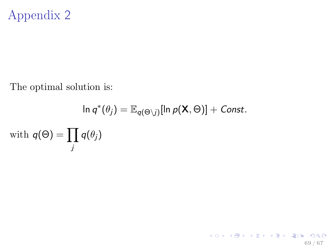The optimal solution is:

$$
\ln q^*(\theta_j) = \mathbb{E}_{q(\Theta \setminus j)}[\ln p(\mathbf{X}, \Theta)] + \text{Const.}
$$
  
with  $q(\Theta) = \prod_j q(\theta_j)$ 

<span id="page-68-0"></span>69 / 67

イロト イ御ト イミト イミト (型性) のなが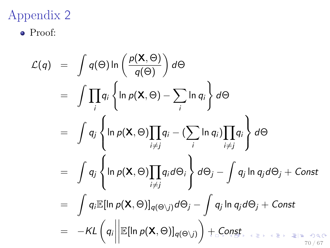Proof:

<span id="page-69-0"></span>
$$
\mathcal{L}(q) = \int q(\Theta) \ln \left( \frac{p(\mathbf{X}, \Theta)}{q(\Theta)} \right) d\Theta
$$
  
\n
$$
= \int \prod_{i} q_{i} \left\{ \ln p(\mathbf{X}, \Theta) - \sum_{i} \ln q_{i} \right\} d\Theta
$$
  
\n
$$
= \int q_{j} \left\{ \ln p(\mathbf{X}, \Theta) \prod_{i \neq j} q_{i} - (\sum_{i} \ln q_{i}) \prod_{i \neq j} q_{i} \right\} d\Theta
$$
  
\n
$$
= \int q_{j} \left\{ \ln p(\mathbf{X}, \Theta) \prod_{i \neq j} q_{i} d\Theta_{i} \right\} d\Theta_{j} - \int q_{j} \ln q_{j} d\Theta_{j} + \text{Const}
$$
  
\n
$$
= \int q_{i} \mathbb{E}[\ln p(\mathbf{X}, \Theta)]_{q(\Theta \setminus j)} d\Theta_{j} - \int q_{j} \ln q_{j} d\Theta_{j} + \text{Const}
$$
  
\n
$$
= -KL \left( q_{i} \middle| \mathbb{E}[\ln p(\mathbf{X}, \Theta)]_{q(\Theta \setminus j)} \right) + \text{const}
$$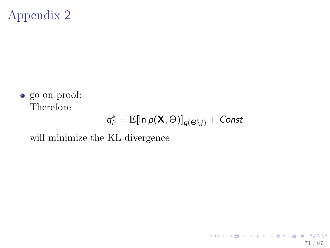go on proof: Therefore

<span id="page-70-0"></span>
$$
q_i^* = \mathbb{E}[\ln p(\mathbf{X}, \Theta)]_{q(\Theta \setminus j)} + \text{Const}
$$

will minimize the KL divergence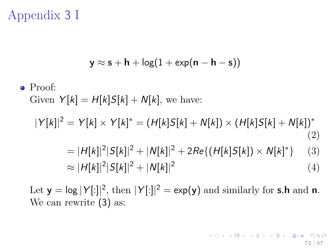# Appendix 3 I

$$
y \approx s + h + \log(1 + \exp(n - h - s))
$$

Proof:

Given  $Y[k] = H[k]S[k] + N[k]$ , we have:

$$
|Y[k]|^2 = Y[k] \times Y[k]^* = (H[k]S[k] + N[k]) \times (H[k]S[k] + N[k])^*
$$
\n(2)

$$
= |H[k]|^{2}|S[k]|^{2} + |N[k]|^{2} + 2Re\{(H[k]S[k]) \times N[k]^{*}\} \quad (3)
$$
  
\n
$$
\approx |H[k]|^{2}|S[k]|^{2} + |N[k]|^{2}
$$
\n(4)

Let  $y = \log |Y[:]|^2$ , then  $|Y[:]|^2 = \exp(y)$  and similarly for s,h and n. We can rewrite (3) as: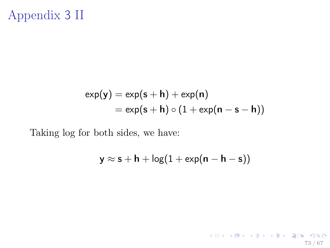## Appendix 3 II

$$
\exp(\mathbf{y}) = \exp(\mathbf{s} + \mathbf{h}) + \exp(\mathbf{n})
$$
  
= 
$$
\exp(\mathbf{s} + \mathbf{h}) \circ (1 + \exp(\mathbf{n} - \mathbf{s} - \mathbf{h}))
$$

Taking log for both sides, we have:

$$
y\approx s+h+\log(1+\text{exp}(n-h-s))
$$

73 / 67

K ロ > K @ ▶ K 할 > K 할 > [ 할 = K) Q Q @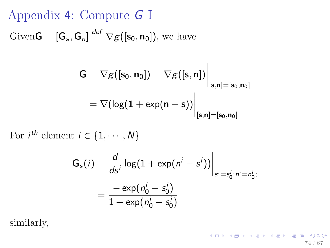Appendix 4: Compute G I Given  $\mathbf{G} = [\mathbf{G}_s, \mathbf{G}_n] \stackrel{\text{def}}{=} \nabla g([\mathbf{s}_0, \mathbf{n}_0]),$  we have

$$
\begin{aligned} \mathsf{G}&=\nabla g([\mathsf{s}_0,\mathsf{n}_0])=\nabla g([\mathsf{s},\mathsf{n}])\bigg|_{[\mathsf{s},\mathsf{n}]=[\mathsf{s}_0,\mathsf{n}_0]} \\ &=\nabla (\mathsf{log}(1+\mathsf{exp}(\mathsf{n}-\mathsf{s}))\bigg|_{[\mathsf{s},\mathsf{n}]=[\mathsf{s}_0,\mathsf{n}_0]} \end{aligned}
$$

 $\mathbf{I}$ 

For  $i^{th}$  element  $i \in \{1, \cdots, N\}$ 

$$
G_{s}(i) = \frac{d}{ds^{i}} \log(1 + \exp(n^{i} - s^{i})) \Big|_{s^{i} = s_{0}^{i}, n^{i} = n_{0}^{i}; \atop s^{i} = s_{1}^{i} + \exp(n_{0}^{i} - s_{0}^{i})}
$$

similarly,

K ロ ▶ K @ ▶ K 할 ▶ K 할 ▶ [할 바 ! 9 Q Q^ 74 / 67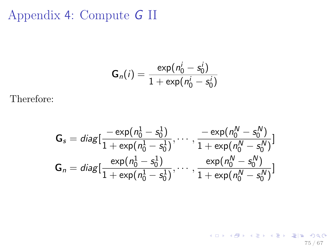## Appendix 4: Compute G II

$$
\mathsf{G}_n(i) = \frac{\exp(n_0^i - s_0^i)}{1 + \exp(n_0^i - s_0^i)}
$$

Therefore:

$$
\mathbf{G}_s = diag[\frac{-\exp(n_0^1 - s_0^1)}{1 + \exp(n_0^1 - s_0^1)}, \cdots, \frac{-\exp(n_0^N - s_0^N)}{1 + \exp(n_0^N - s_0^N)}]
$$

$$
\mathbf{G}_n = diag[\frac{\exp(n_0^1 - s_0^1)}{1 + \exp(n_0^1 - s_0^1)}, \cdots, \frac{\exp(n_0^N - s_0^N)}{1 + \exp(n_0^N - s_0^N)}]
$$

K ロ > K @ ▶ K 할 > K 할 > [ 할 = K) Q Q @ 75 / 67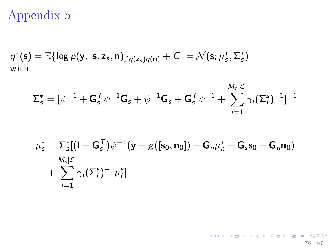## Appendix 5

$$
q^*(s) = \mathbb{E}\{\log p(\mathbf{y}, s, z_s, \mathbf{n})\}_{q(\mathbf{z}_s)q(\mathbf{n})} + C_1 = \mathcal{N}(s; \mu_s^*, \Sigma_s^*)
$$
  
with

$$
\boldsymbol{\Sigma}_{\mathsf{s}}^* = [\psi^{-1} + \mathsf{G}_{\mathsf{s}}^{\mathsf{T}} \psi^{-1} \mathsf{G}_{\mathsf{s}} + \psi^{-1} \mathsf{G}_{\mathsf{s}} + \mathsf{G}_{\mathsf{s}}^{\mathsf{T}} \psi^{-1} + \sum_{i=1}^{M_{\mathsf{s}}|\mathcal{L}|} \gamma_i (\boldsymbol{\Sigma}_{i}^{\mathsf{s}})^{-1}]^{-1}
$$

$$
\mu_s^* = \sum_s^* [(I + \mathbf{G}_s^T)\psi^{-1}(\mathbf{y} - g([\mathbf{s}_0, \mathbf{n}_0]) - \mathbf{G}_n \mu_n^* + \mathbf{G}_s \mathbf{s}_0 + \mathbf{G}_n \mathbf{n}_0) + \sum_{i=1}^{M_s|\mathcal{L}|} \gamma_i(\Sigma_i^s)^{-1} \mu_i^s]
$$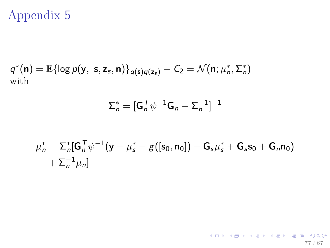# Appendix 5

$$
q^*(\mathbf{n}) = \mathbb{E}\{\log p(\mathbf{y}, \mathbf{s}, \mathbf{z}_s, \mathbf{n})\}_{q(\mathbf{s})q(\mathbf{z}_s)} + C_2 = \mathcal{N}(\mathbf{n}; \mu_n^*, \Sigma_n^*)
$$
 with

$$
\Sigma_n^* = [\mathbf{G}_n^T \psi^{-1} \mathbf{G}_n + \Sigma_n^{-1}]^{-1}
$$

$$
\mu_n^* = \sum_n^* [\mathbf{G}_n^T \psi^{-1} (\mathbf{y} - \mu_s^* - g([\mathbf{s}_0, \mathbf{n}_0]) - \mathbf{G}_s \mu_s^* + \mathbf{G}_s \mathbf{s}_0 + \mathbf{G}_n \mathbf{n}_0) + \sum_n^{-1} \mu_n]
$$

77 / 67

 $\mathcal{A}$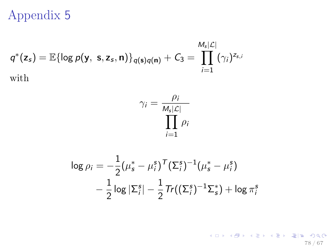## Appendix 5

$$
q^*(\mathsf{z}_s) = \mathbb{E}\{\log p(\mathsf{y}, \, \mathsf{s}, \mathsf{z}_s, \mathsf{n})\}_{q(\mathsf{s})q(\mathsf{n})} + C_3 = \prod_{i=1}^{M_s|\mathcal{L}|} (\gamma_i)^{\mathsf{z}_{\mathsf{s},i}}
$$
\nwith

$$
\gamma_i = \frac{\rho_i}{\prod_{i=1}^{M_s|\mathcal{L}|} \rho_i}
$$

$$
\log \rho_i = -\frac{1}{2} (\mu_s^* - \mu_i^s)^T (\Sigma_i^s)^{-1} (\mu_s^* - \mu_i^s)
$$
  
-  $\frac{1}{2} \log |\Sigma_i^s| - \frac{1}{2} Tr((\Sigma_i^s)^{-1} \Sigma_s^*) + \log \pi_i^s$ 

(ロ) (個) (ミ) (ミ) (ミ) ヨー のQ(^ 78 / 67